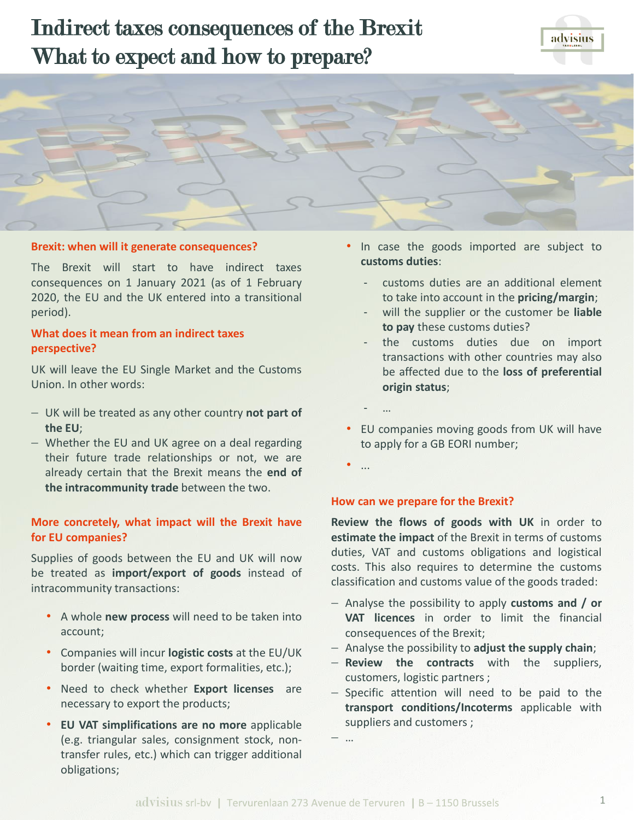# Indirect taxes consequences of the Brexit What to expect and how to prepare?





### **Brexit: when will it generate consequences?**

The Brexit will start to have indirect taxes consequences on 1 January 2021 (as of 1 February 2020, the EU and the UK entered into a transitional period).

# **What does it mean from an indirect taxes perspective?**

UK will leave the EU Single Market and the Customs Union. In other words:

- − UK will be treated as any other country **not part of the EU**;
- − Whether the EU and UK agree on a deal regarding their future trade relationships or not, we are already certain that the Brexit means the **end of the intracommunity trade** between the two.

## **More concretely, what impact will the Brexit have for EU companies?**

Supplies of goods between the EU and UK will now be treated as **import/export of goods** instead of intracommunity transactions:

- A whole **new process** will need to be taken into account;
- Companies will incur **logistic costs** at the EU/UK border (waiting time, export formalities, etc.);
- Need to check whether **Export licenses** are necessary to export the products;
- **EU VAT simplifications are no more** applicable (e.g. triangular sales, consignment stock, nontransfer rules, etc.) which can trigger additional obligations;
- In case the goods imported are subject to **customs duties**:
	- ‐ customs duties are an additional element to take into account in the **pricing/margin**;
	- ‐ will the supplier or the customer be **liable to pay** these customs duties?
	- ‐ the customs duties due on import transactions with other countries may also be affected due to the **loss of preferential origin status**;
- EU companies moving goods from UK will have to apply for a GB EORI number;
- ...

‐ …

#### **How can we prepare for the Brexit?**

**Review the flows of goods with UK** in order to **estimate the impact** of the Brexit in terms of customs duties, VAT and customs obligations and logistical costs. This also requires to determine the customs classification and customs value of the goods traded:

- − Analyse the possibility to apply **customs and / or VAT licences** in order to limit the financial consequences of the Brexit;
- − Analyse the possibility to **adjust the supply chain**;
- − **Review the contracts** with the suppliers, customers, logistic partners ;
- − Specific attention will need to be paid to the **transport conditions/Incoterms** applicable with suppliers and customers ;
- − …